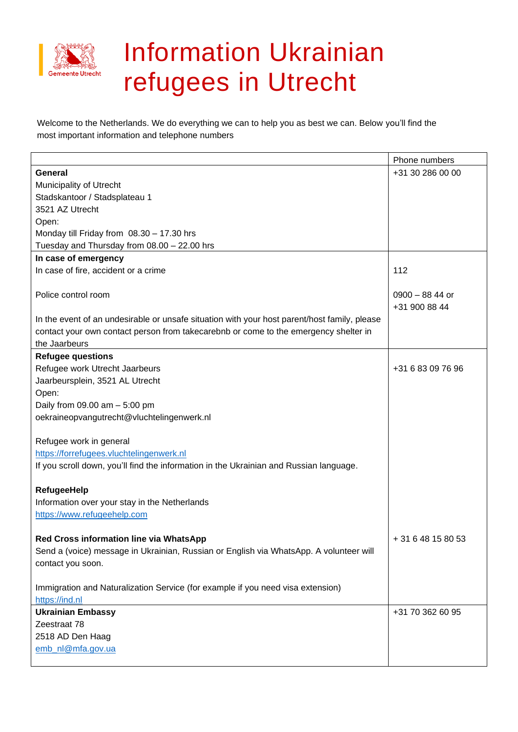

## Information Ukrainian refugees in Utrecht

Welcome to the Netherlands. We do everything we can to help you as best we can. Below you'll find the most important information and telephone numbers

|                                                                                              | Phone numbers      |
|----------------------------------------------------------------------------------------------|--------------------|
| <b>General</b>                                                                               | +31 30 286 00 00   |
| <b>Municipality of Utrecht</b>                                                               |                    |
| Stadskantoor / Stadsplateau 1                                                                |                    |
| 3521 AZ Utrecht                                                                              |                    |
| Open:                                                                                        |                    |
| Monday till Friday from 08.30 - 17.30 hrs                                                    |                    |
| Tuesday and Thursday from 08.00 - 22.00 hrs                                                  |                    |
| In case of emergency                                                                         |                    |
| In case of fire, accident or a crime                                                         | 112                |
|                                                                                              |                    |
| Police control room                                                                          | $0900 - 8844$ or   |
|                                                                                              | +31 900 88 44      |
| In the event of an undesirable or unsafe situation with your host parent/host family, please |                    |
| contact your own contact person from takecarebnb or come to the emergency shelter in         |                    |
| the Jaarbeurs                                                                                |                    |
| <b>Refugee questions</b>                                                                     |                    |
| Refugee work Utrecht Jaarbeurs                                                               | +31 6 83 09 76 96  |
| Jaarbeursplein, 3521 AL Utrecht                                                              |                    |
| Open:                                                                                        |                    |
| Daily from $09.00$ am $-5.00$ pm                                                             |                    |
| oekraineopvangutrecht@vluchtelingenwerk.nl                                                   |                    |
|                                                                                              |                    |
| Refugee work in general                                                                      |                    |
| https://forrefugees.vluchtelingenwerk.nl                                                     |                    |
| If you scroll down, you'll find the information in the Ukrainian and Russian language.       |                    |
|                                                                                              |                    |
| <b>RefugeeHelp</b>                                                                           |                    |
| Information over your stay in the Netherlands                                                |                    |
| https://www.refugeehelp.com                                                                  |                    |
|                                                                                              |                    |
| Red Cross information line via WhatsApp                                                      | + 31 6 48 15 80 53 |
| Send a (voice) message in Ukrainian, Russian or English via WhatsApp. A volunteer will       |                    |
| contact you soon.                                                                            |                    |
|                                                                                              |                    |
| Immigration and Naturalization Service (for example if you need visa extension)              |                    |
| https://ind.nl                                                                               |                    |
| <b>Ukrainian Embassy</b>                                                                     | +31 70 362 60 95   |
| Zeestraat 78                                                                                 |                    |
| 2518 AD Den Haag                                                                             |                    |
| emb_nl@mfa.gov.ua                                                                            |                    |
|                                                                                              |                    |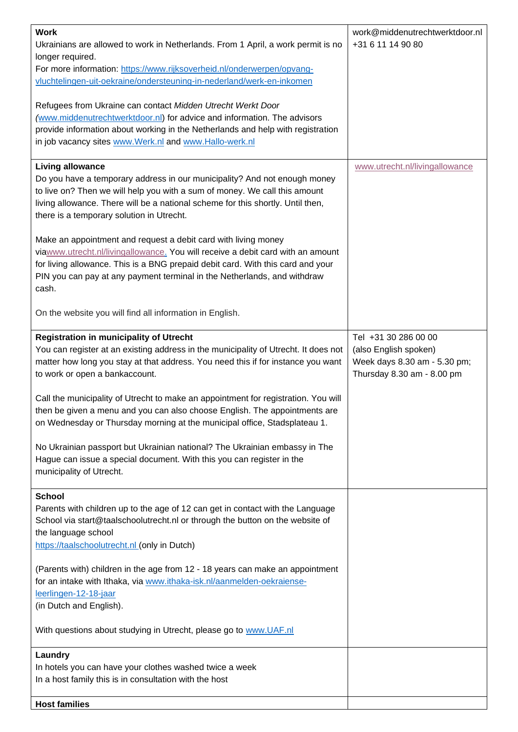| <b>Work</b><br>Ukrainians are allowed to work in Netherlands. From 1 April, a work permit is no<br>longer required.<br>For more information: https://www.rijksoverheid.nl/onderwerpen/opvang-<br>vluchtelingen-uit-oekraine/ondersteuning-in-nederland/werk-en-inkomen<br>Refugees from Ukraine can contact Midden Utrecht Werkt Door<br>(www.middenutrechtwerktdoor.nl) for advice and information. The advisors<br>provide information about working in the Netherlands and help with registration<br>in job vacancy sites www.Werk.nl and www.Hallo-werk.nl | work@middenutrechtwerktdoor.nl<br>+31 6 11 14 90 80                                                         |
|----------------------------------------------------------------------------------------------------------------------------------------------------------------------------------------------------------------------------------------------------------------------------------------------------------------------------------------------------------------------------------------------------------------------------------------------------------------------------------------------------------------------------------------------------------------|-------------------------------------------------------------------------------------------------------------|
| <b>Living allowance</b><br>Do you have a temporary address in our municipality? And not enough money<br>to live on? Then we will help you with a sum of money. We call this amount<br>living allowance. There will be a national scheme for this shortly. Until then,<br>there is a temporary solution in Utrecht.                                                                                                                                                                                                                                             | www.utrecht.nl/livingallowance                                                                              |
| Make an appointment and request a debit card with living money<br>viawww.utrecht.nl/livingallowance. You will receive a debit card with an amount<br>for living allowance. This is a BNG prepaid debit card. With this card and your<br>PIN you can pay at any payment terminal in the Netherlands, and withdraw<br>cash.                                                                                                                                                                                                                                      |                                                                                                             |
| On the website you will find all information in English.                                                                                                                                                                                                                                                                                                                                                                                                                                                                                                       |                                                                                                             |
| <b>Registration in municipality of Utrecht</b><br>You can register at an existing address in the municipality of Utrecht. It does not<br>matter how long you stay at that address. You need this if for instance you want<br>to work or open a bankaccount.                                                                                                                                                                                                                                                                                                    | Tel +31 30 286 00 00<br>(also English spoken)<br>Week days 8.30 am - 5.30 pm;<br>Thursday 8.30 am - 8.00 pm |
| Call the municipality of Utrecht to make an appointment for registration. You will<br>then be given a menu and you can also choose English. The appointments are<br>on Wednesday or Thursday morning at the municipal office, Stadsplateau 1.                                                                                                                                                                                                                                                                                                                  |                                                                                                             |
| No Ukrainian passport but Ukrainian national? The Ukrainian embassy in The<br>Hague can issue a special document. With this you can register in the<br>municipality of Utrecht.                                                                                                                                                                                                                                                                                                                                                                                |                                                                                                             |
| <b>School</b><br>Parents with children up to the age of 12 can get in contact with the Language<br>School via start@taalschoolutrecht.nl or through the button on the website of<br>the language school<br>https://taalschoolutrecht.nl (only in Dutch)                                                                                                                                                                                                                                                                                                        |                                                                                                             |
| (Parents with) children in the age from 12 - 18 years can make an appointment<br>for an intake with Ithaka, via www.ithaka-isk.nl/aanmelden-oekraiense-<br>leerlingen-12-18-jaar<br>(in Dutch and English).                                                                                                                                                                                                                                                                                                                                                    |                                                                                                             |
| With questions about studying in Utrecht, please go to www.UAF.nl                                                                                                                                                                                                                                                                                                                                                                                                                                                                                              |                                                                                                             |
| Laundry<br>In hotels you can have your clothes washed twice a week<br>In a host family this is in consultation with the host                                                                                                                                                                                                                                                                                                                                                                                                                                   |                                                                                                             |
| <b>Host families</b>                                                                                                                                                                                                                                                                                                                                                                                                                                                                                                                                           |                                                                                                             |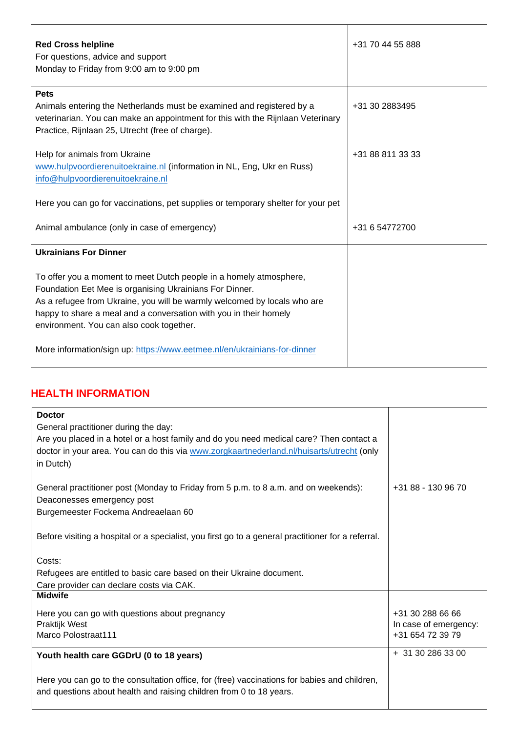| <b>Red Cross helpline</b><br>For questions, advice and support<br>Monday to Friday from 9:00 am to 9:00 pm                                                                                                                                                                                                                 | +31 70 44 55 888 |
|----------------------------------------------------------------------------------------------------------------------------------------------------------------------------------------------------------------------------------------------------------------------------------------------------------------------------|------------------|
| <b>Pets</b><br>Animals entering the Netherlands must be examined and registered by a<br>veterinarian. You can make an appointment for this with the Rijnlaan Veterinary<br>Practice, Rijnlaan 25, Utrecht (free of charge).                                                                                                | +31 30 2883495   |
| Help for animals from Ukraine<br>www.hulpvoordierenuitoekraine.nl (information in NL, Eng, Ukr en Russ)<br>info@hulpvoordierenuitoekraine.nl                                                                                                                                                                               | +31 88 811 33 33 |
| Here you can go for vaccinations, pet supplies or temporary shelter for your pet                                                                                                                                                                                                                                           |                  |
| Animal ambulance (only in case of emergency)                                                                                                                                                                                                                                                                               | +31 6 54772700   |
| <b>Ukrainians For Dinner</b>                                                                                                                                                                                                                                                                                               |                  |
| To offer you a moment to meet Dutch people in a homely atmosphere,<br>Foundation Eet Mee is organising Ukrainians For Dinner.<br>As a refugee from Ukraine, you will be warmly welcomed by locals who are<br>happy to share a meal and a conversation with you in their homely<br>environment. You can also cook together. |                  |
| More information/sign up: https://www.eetmee.nl/en/ukrainians-for-dinner                                                                                                                                                                                                                                                   |                  |

## **HEALTH INFORMATION**

| <b>Doctor</b>                                                                                      |                       |
|----------------------------------------------------------------------------------------------------|-----------------------|
| General practitioner during the day:                                                               |                       |
| Are you placed in a hotel or a host family and do you need medical care? Then contact a            |                       |
| doctor in your area. You can do this via www.zorgkaartnederland.nl/huisarts/utrecht (only          |                       |
| in Dutch)                                                                                          |                       |
|                                                                                                    |                       |
| General practitioner post (Monday to Friday from 5 p.m. to 8 a.m. and on weekends):                | +31 88 - 130 96 70    |
| Deaconesses emergency post                                                                         |                       |
| Burgemeester Fockema Andreaelaan 60                                                                |                       |
|                                                                                                    |                       |
| Before visiting a hospital or a specialist, you first go to a general practitioner for a referral. |                       |
|                                                                                                    |                       |
| Costs:                                                                                             |                       |
| Refugees are entitled to basic care based on their Ukraine document.                               |                       |
| Care provider can declare costs via CAK.                                                           |                       |
| <b>Midwife</b>                                                                                     |                       |
| Here you can go with questions about pregnancy                                                     | +31 30 288 66 66      |
| Praktijk West                                                                                      | In case of emergency: |
| <b>Marco Polostraat111</b>                                                                         | +31 654 72 39 79      |
|                                                                                                    |                       |
| Youth health care GGDrU (0 to 18 years)                                                            | + 31 30 286 33 00     |
|                                                                                                    |                       |
| Here you can go to the consultation office, for (free) vaccinations for babies and children,       |                       |
| and questions about health and raising children from 0 to 18 years.                                |                       |
|                                                                                                    |                       |